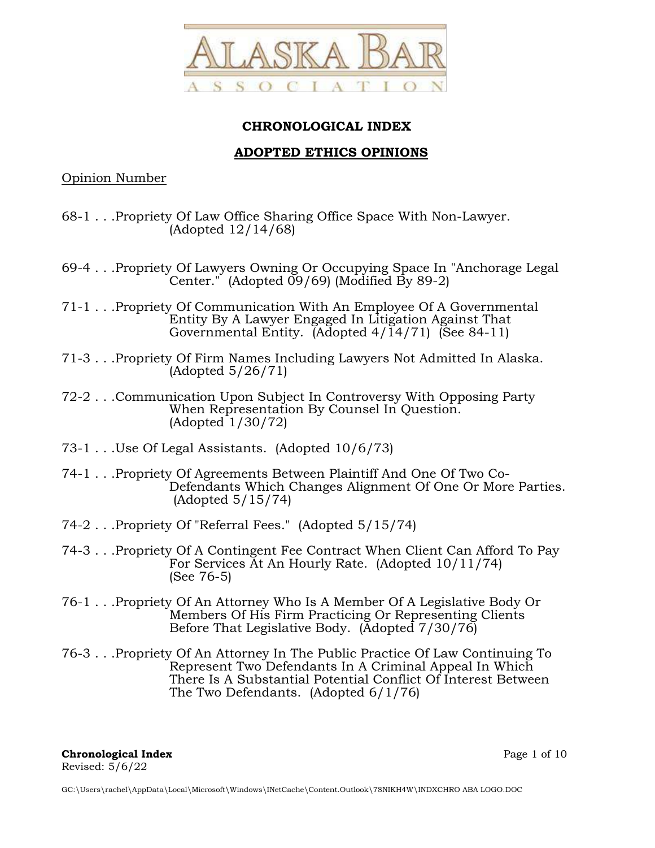

# **CHRONOLOGICAL INDEX**

# **ADOPTED ETHICS OPINIONS**

Opinion Number

- 68-1 . . .Propriety Of Law Office Sharing Office Space With Non-Lawyer. (Adopted 12/14/68)
- 69-4 . . .Propriety Of Lawyers Owning Or Occupying Space In "Anchorage Legal Center." (Adopted 09/69) (Modified By 89-2)
- 71-1 . . .Propriety Of Communication With An Employee Of A Governmental Entity By A Lawyer Engaged In Litigation Against That Governmental Entity. (Adopted  $4/\overline{1}4/71$ ) (See 84-11)
- 71-3 . . .Propriety Of Firm Names Including Lawyers Not Admitted In Alaska. (Adopted 5/26/71)
- 72-2 . . .Communication Upon Subject In Controversy With Opposing Party When Representation By Counsel In Question.  $(Adopted 1/30/72)$
- 73-1 . . .Use Of Legal Assistants. (Adopted 10/6/73)
- 74-1 . . .Propriety Of Agreements Between Plaintiff And One Of Two Co-Defendants Which Changes Alignment Of One Or More Parties. (Adopted 5/15/74)
- 74-2 . . .Propriety Of "Referral Fees." (Adopted 5/15/74)
- 74-3 . . .Propriety Of A Contingent Fee Contract When Client Can Afford To Pay For Services At An Hourly Rate. (Adopted 10/11/74) (See 76-5)
- 76-1 . . .Propriety Of An Attorney Who Is A Member Of A Legislative Body Or Members Of His Firm Practicing Or Representing Clients Before That Legislative Body. (Adopted 7/30/76)
- 76-3 . . .Propriety Of An Attorney In The Public Practice Of Law Continuing To Represent Two Defendants In A Criminal Appeal In Which There Is A Substantial Potential Conflict Of Interest Between The Two Defendants. (Adopted 6/1/76)

**Chronological Index** Page 1 of 10 Revised: 5/6/22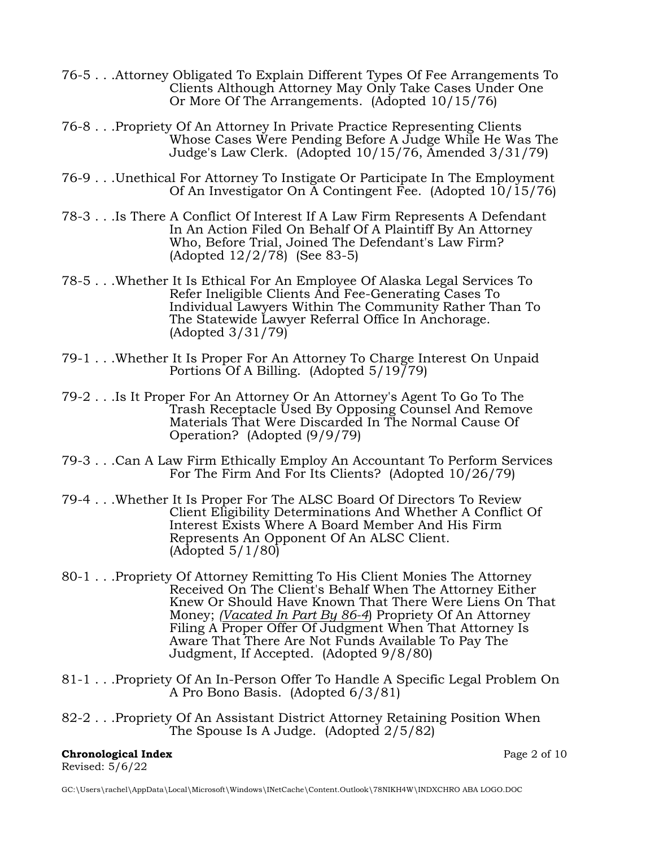- 76-5 . . .Attorney Obligated To Explain Different Types Of Fee Arrangements To Clients Although Attorney May Only Take Cases Under One Or More Of The Arrangements. (Adopted 10/15/76)
- 76-8 . . .Propriety Of An Attorney In Private Practice Representing Clients Whose Cases Were Pending Before A Judge While He Was The Judge's Law Clerk. (Adopted 10/15/76, Amended 3/31/79)
- 76-9 . . .Unethical For Attorney To Instigate Or Participate In The Employment Of An Investigator On A Contingent Fee. (Adopted 10/15/76)
- 78-3 . . .Is There A Conflict Of Interest If A Law Firm Represents A Defendant In An Action Filed On Behalf Of A Plaintiff By An Attorney Who, Before Trial, Joined The Defendant's Law Firm? (Adopted 12/2/78) (See 83-5)
- 78-5 . . .Whether It Is Ethical For An Employee Of Alaska Legal Services To Refer Ineligible Clients And Fee-Generating Cases To Individual Lawyers Within The Community Rather Than To The Statewide Lawyer Referral Office In Anchorage. (Adopted 3/31/79)
- 79-1 . . .Whether It Is Proper For An Attorney To Charge Interest On Unpaid Portions Of A Billing. (Adopted 5/19/79)
- 79-2 . . .Is It Proper For An Attorney Or An Attorney's Agent To Go To The Trash Receptacle Used By Opposing Counsel And Remove Materials That Were Discarded In The Normal Cause Of Operation? (Adopted (9/9/79)
- 79-3 . . .Can A Law Firm Ethically Employ An Accountant To Perform Services For The Firm And For Its Clients? (Adopted 10/26/79)
- 79-4 . . .Whether It Is Proper For The ALSC Board Of Directors To Review Client Eligibility Determinations And Whether A Conflict Of Interest Exists Where A Board Member And His Firm Represents An Opponent Of An ALSC Client. (Adopted 5/1/80)
- 80-1 . . .Propriety Of Attorney Remitting To His Client Monies The Attorney Received On The Client's Behalf When The Attorney Either Knew Or Should Have Known That There Were Liens On That Money; *(Vacated In Part By 86-4*) Propriety Of An Attorney Filing A Proper Offer Of Judgment When That Attorney Is Aware That There Are Not Funds Available To Pay The Judgment, If Accepted. (Adopted 9/8/80)
- 81-1 . . .Propriety Of An In-Person Offer To Handle A Specific Legal Problem On A Pro Bono Basis. (Adopted 6/3/81)
- 82-2 . . .Propriety Of An Assistant District Attorney Retaining Position When The Spouse Is A Judge. (Adopted 2/5/82)

### **Chronological Index** Page 2 of 10 Revised: 5/6/22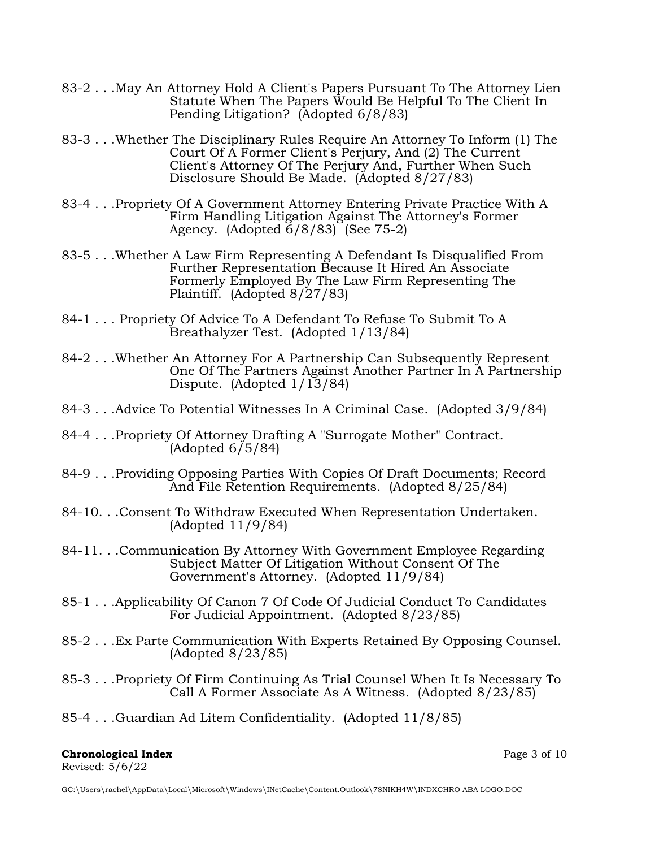- 83-2 . . .May An Attorney Hold A Client's Papers Pursuant To The Attorney Lien Statute When The Papers Would Be Helpful To The Client In Pending Litigation? (Adopted 6/8/83)
- 83-3 . . .Whether The Disciplinary Rules Require An Attorney To Inform (1) The Court Of A Former Client's Perjury, And (2) The Current Client's Attorney Of The Perjury And, Further When Such Disclosure Should Be Made. (Adopted 8/27/83)
- 83-4 . . .Propriety Of A Government Attorney Entering Private Practice With A Firm Handling Litigation Against The Attorney's Former Agency. (Adopted  $\overline{6}/8/83$ ) (See 75-2)
- 83-5 . . .Whether A Law Firm Representing A Defendant Is Disqualified From Further Representation Because It Hired An Associate Formerly Employed By The Law Firm Representing The Plaintiff. (Adopted 8/27/83)
- 84-1 . . . Propriety Of Advice To A Defendant To Refuse To Submit To A Breathalyzer Test. (Adopted 1/13/84)
- 84-2 . . .Whether An Attorney For A Partnership Can Subsequently Represent One Of The Partners Against Another Partner In A Partnership Dispute. (Adopted 1/13/84)
- 84-3 . . .Advice To Potential Witnesses In A Criminal Case. (Adopted 3/9/84)
- 84-4 . . .Propriety Of Attorney Drafting A "Surrogate Mother" Contract.  $(Adopted 6/5/84)$
- 84-9 . . .Providing Opposing Parties With Copies Of Draft Documents; Record And File Retention Requirements. (Adopted 8/25/84)
- 84-10. . .Consent To Withdraw Executed When Representation Undertaken. (Adopted 11/9/84)
- 84-11. . .Communication By Attorney With Government Employee Regarding Subject Matter Of Litigation Without Consent Of The Government's Attorney. (Adopted 11/9/84)
- 85-1 . . .Applicability Of Canon 7 Of Code Of Judicial Conduct To Candidates For Judicial Appointment. (Adopted 8/23/85)
- 85-2 . . .Ex Parte Communication With Experts Retained By Opposing Counsel. (Adopted 8/23/85)
- 85-3 . . .Propriety Of Firm Continuing As Trial Counsel When It Is Necessary To Call A Former Associate As A Witness. (Adopted 8/23/85)
- 85-4 . . .Guardian Ad Litem Confidentiality. (Adopted 11/8/85)

## **Chronological Index** Page 3 of 10 Revised: 5/6/22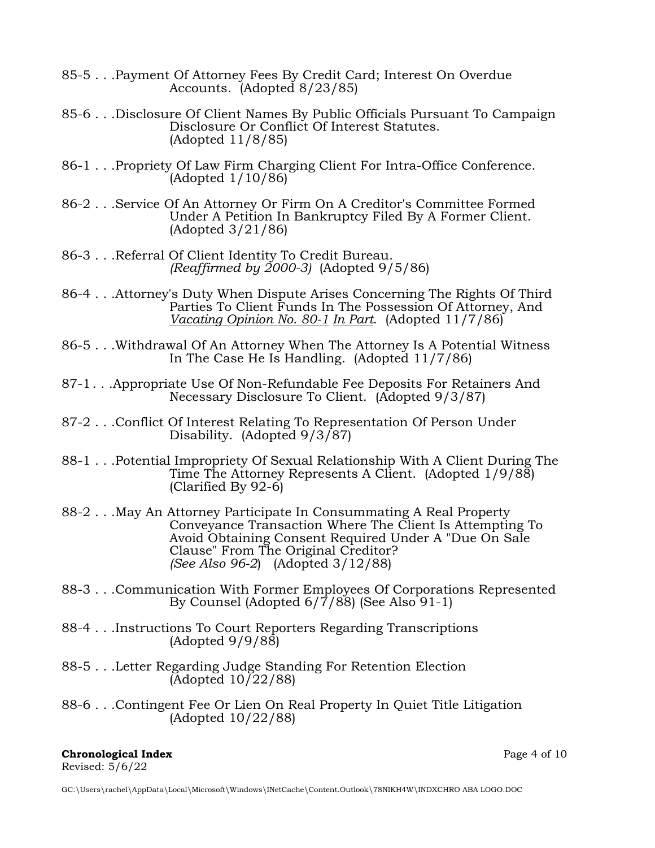- 85-5 . . .Payment Of Attorney Fees By Credit Card; Interest On Overdue Accounts. (Adopted 8/23/85)
- 85-6 . . .Disclosure Of Client Names By Public Officials Pursuant To Campaign Disclosure Or Conflict Of Interest Statutes. (Adopted 11/8/85)
- 86-1 . . .Propriety Of Law Firm Charging Client For Intra-Office Conference. (Adopted 1/10/86)
- 86-2 . . .Service Of An Attorney Or Firm On A Creditor's Committee Formed Under A Petition In Bankruptcy Filed By A Former Client. (Adopted 3/21/86)
- 86-3 . . .Referral Of Client Identity To Credit Bureau. *(Reaffirmed by 2000-3)* (Adopted 9/5/86)
- 86-4 . . .Attorney's Duty When Dispute Arises Concerning The Rights Of Third Parties To Client Funds In The Possession Of Attorney, And *Vacating Opinion No. 80-1 In Part*. (Adopted 11/7/86)
- 86-5 . . .Withdrawal Of An Attorney When The Attorney Is A Potential Witness In The Case He Is Handling. (Adopted 11/7/86)
- 87-1 . . .Appropriate Use Of Non-Refundable Fee Deposits For Retainers And Necessary Disclosure To Client. (Adopted 9/3/87)
- 87-2 . . .Conflict Of Interest Relating To Representation Of Person Under Disability. (Adopted 9/3/87)
- 88-1 . . .Potential Impropriety Of Sexual Relationship With A Client During The Time The Attorney Represents A Client. (Adopted 1/9/88) (Clarified By 92-6)
- 88-2 . . .May An Attorney Participate In Consummating A Real Property Conveyance Transaction Where The Client Is Attempting To Avoid Obtaining Consent Required Under A "Due On Sale Clause" From The Original Creditor? *(See Also 96-2*) (Adopted 3/12/88)
- 88-3 . . .Communication With Former Employees Of Corporations Represented By Counsel (Adopted 6/7/88) (See Also 91-1)
- 88-4 . . .Instructions To Court Reporters Regarding Transcriptions (Adopted 9/9/88)
- 88-5 . . .Letter Regarding Judge Standing For Retention Election  $\text{Adopted } 10\overline{}/22/88$
- 88-6 . . .Contingent Fee Or Lien On Real Property In Quiet Title Litigation (Adopted 10/22/88)

#### **Chronological Index** Page 4 of 10 Revised: 5/6/22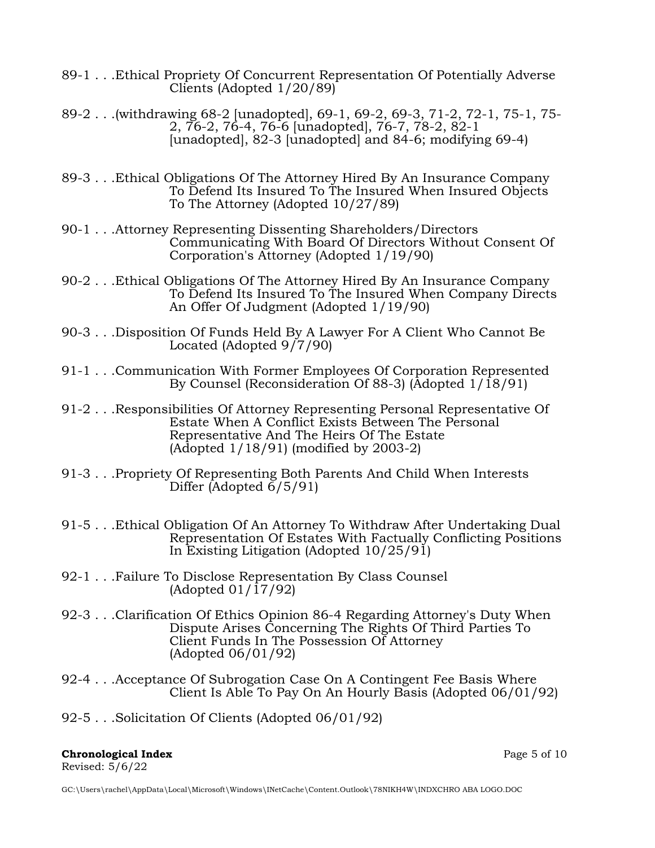- 89-1 . . .Ethical Propriety Of Concurrent Representation Of Potentially Adverse Clients (Adopted 1/20/89)
- 89-2 . . .(withdrawing 68-2 [unadopted], 69-1, 69-2, 69-3, 71-2, 72-1, 75-1, 75- 2, 76-2, 76-4, 76-6 [unadopted], 76-7, 78-2, 82-1 [unadopted], 82-3 [unadopted] and 84-6; modifying 69-4)
- 89-3 . . .Ethical Obligations Of The Attorney Hired By An Insurance Company To Defend Its Insured To The Insured When Insured Objects To The Attorney (Adopted 10/27/89)
- 90-1 . . .Attorney Representing Dissenting Shareholders/Directors Communicating With Board Of Directors Without Consent Of Corporation's Attorney (Adopted 1/19/90)
- 90-2 . . .Ethical Obligations Of The Attorney Hired By An Insurance Company To Defend Its Insured To The Insured When Company Directs An Offer Of Judgment (Adopted 1/19/90)
- 90-3 . . .Disposition Of Funds Held By A Lawyer For A Client Who Cannot Be Located (Adopted  $9/7/90$ )
- 91-1 . . .Communication With Former Employees Of Corporation Represented By Counsel (Reconsideration Of 88-3) (Adopted 1/18/91)
- 91-2 . . .Responsibilities Of Attorney Representing Personal Representative Of Estate When A Conflict Exists Between The Personal Representative And The Heirs Of The Estate (Adopted 1/18/91) (modified by 2003-2)
- 91-3 . . .Propriety Of Representing Both Parents And Child When Interests Differ (Adopted 6/5/91)
- 91-5 . . .Ethical Obligation Of An Attorney To Withdraw After Undertaking Dual Representation Of Estates With Factually Conflicting Positions In Existing Litigation (Adopted 10/25/91)
- 92-1 . . .Failure To Disclose Representation By Class Counsel  $(Adopted 01/\overline{17}/92)$
- 92-3 . . .Clarification Of Ethics Opinion 86-4 Regarding Attorney's Duty When Dispute Arises Concerning The Rights Of Third Parties To Client Funds In The Possession Of Attorney (Adopted 06/01/92)
- 92-4 . . .Acceptance Of Subrogation Case On A Contingent Fee Basis Where Client Is Able To Pay On An Hourly Basis (Adopted 06/01/92)
- 92-5 . . .Solicitation Of Clients (Adopted 06/01/92)

## **Chronological Index** Page 5 of 10

Revised: 5/6/22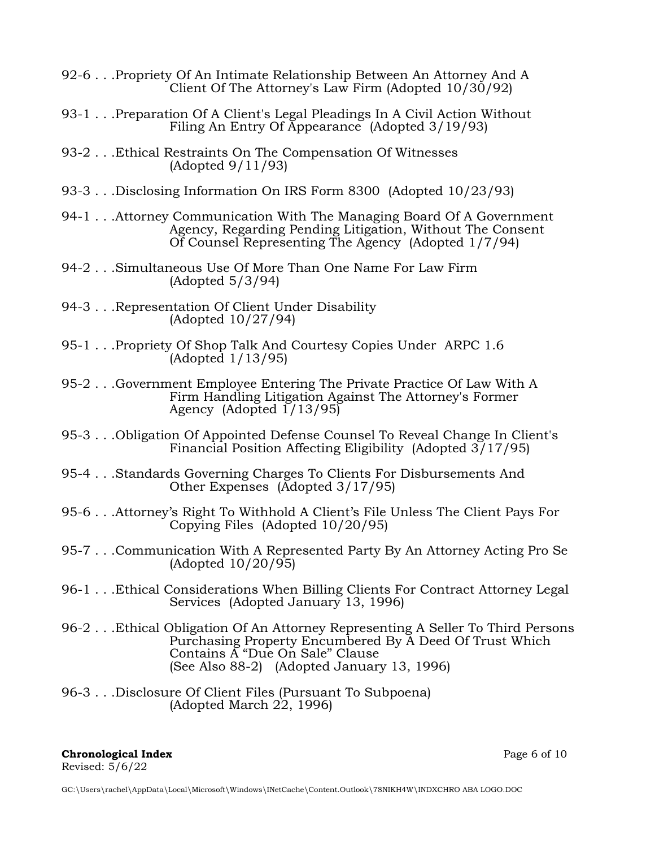- 92-6 . . .Propriety Of An Intimate Relationship Between An Attorney And A Client Of The Attorney's Law Firm (Adopted 10/30/92)
- 93-1 . . .Preparation Of A Client's Legal Pleadings In A Civil Action Without Filing An Entry Of Appearance (Adopted 3/19/93)
- 93-2 . . .Ethical Restraints On The Compensation Of Witnesses (Adopted 9/11/93)
- 93-3 . . .Disclosing Information On IRS Form 8300 (Adopted 10/23/93)
- 94-1 . . .Attorney Communication With The Managing Board Of A Government Agency, Regarding Pending Litigation, Without The Consent Of Counsel Representing The Agency (Adopted 1/7/94)
- 94-2 . . .Simultaneous Use Of More Than One Name For Law Firm (Adopted 5/3/94)
- 94-3 . . .Representation Of Client Under Disability (Adopted 10/27/94)
- 95-1 . . . Propriety Of Shop Talk And Courtesy Copies Under ARPC 1.6 (Adopted 1/13/95)
- 95-2 . . .Government Employee Entering The Private Practice Of Law With A Firm Handling Litigation Against The Attorney's Former Agency (Adopted  $1/13/95$ )
- 95-3 . . .Obligation Of Appointed Defense Counsel To Reveal Change In Client's Financial Position Affecting Eligibility (Adopted 3/17/95)
- 95-4 . . .Standards Governing Charges To Clients For Disbursements And Other Expenses (Adopted 3/17/95)
- 95-6 . . .Attorney's Right To Withhold A Client's File Unless The Client Pays For Copying Files (Adopted 10/20/95)
- 95-7 . . .Communication With A Represented Party By An Attorney Acting Pro Se (Adopted 10/20/95)
- 96-1 . . .Ethical Considerations When Billing Clients For Contract Attorney Legal Services (Adopted January 13, 1996)
- 96-2 . . .Ethical Obligation Of An Attorney Representing A Seller To Third Persons Purchasing Property Encumbered By A Deed Of Trust Which Contains A "Due On Sale" Clause (See Also 88-2) (Adopted January 13, 1996)
- 96-3 . . .Disclosure Of Client Files (Pursuant To Subpoena) (Adopted March 22, 1996)

### **Chronological Index** Page 6 of 10 Revised: 5/6/22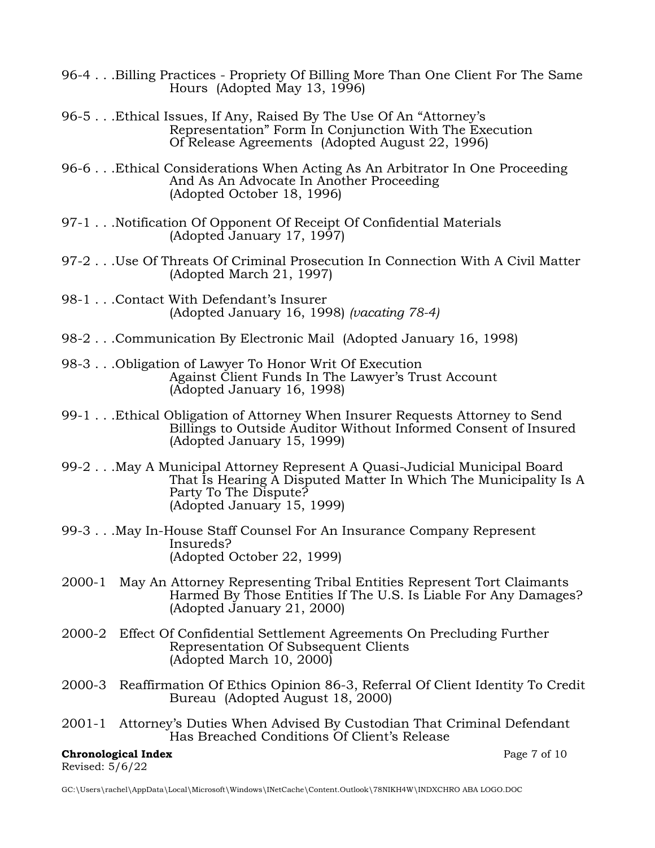- 96-4 . . .Billing Practices Propriety Of Billing More Than One Client For The Same Hours (Adopted May 13, 1996)
- 96-5 . . .Ethical Issues, If Any, Raised By The Use Of An "Attorney's Representation" Form In Conjunction With The Execution Of Release Agreements (Adopted August 22, 1996)
- 96-6 . . .Ethical Considerations When Acting As An Arbitrator In One Proceeding And As An Advocate In Another Proceeding (Adopted October 18, 1996)
- 97-1 . . .Notification Of Opponent Of Receipt Of Confidential Materials (Adopted January 17, 1997)
- 97-2 . . .Use Of Threats Of Criminal Prosecution In Connection With A Civil Matter (Adopted March 21, 1997)
- 98-1 . . .Contact With Defendant's Insurer (Adopted January 16, 1998) *(vacating 78-4)*
- 98-2 . . .Communication By Electronic Mail (Adopted January 16, 1998)
- 98-3 . . .Obligation of Lawyer To Honor Writ Of Execution Against Client Funds In The Lawyer's Trust Account (Adopted January 16, 1998)
- 99-1 . . .Ethical Obligation of Attorney When Insurer Requests Attorney to Send Billings to Outside Auditor Without Informed Consent of Insured (Adopted January 15, 1999)
- 99-2 . . .May A Municipal Attorney Represent A Quasi-Judicial Municipal Board That Is Hearing A Disputed Matter In Which The Municipality Is A Party To The Dispute? (Adopted January 15, 1999)
- 99-3 . . .May In-House Staff Counsel For An Insurance Company Represent Insureds? (Adopted October 22, 1999)
- 2000-1 May An Attorney Representing Tribal Entities Represent Tort Claimants Harmed By Those Entities If The U.S. Is Liable For Any Damages? (Adopted January 21, 2000)
- 2000-2 Effect Of Confidential Settlement Agreements On Precluding Further Representation Of Subsequent Clients (Adopted March 10, 2000)
- 2000-3 Reaffirmation Of Ethics Opinion 86-3, Referral Of Client Identity To Credit Bureau (Adopted August 18, 2000)
- 2001-1 Attorney's Duties When Advised By Custodian That Criminal Defendant Has Breached Conditions Of Client's Release

## **Chronological Index** Page 7 of 10 Revised: 5/6/22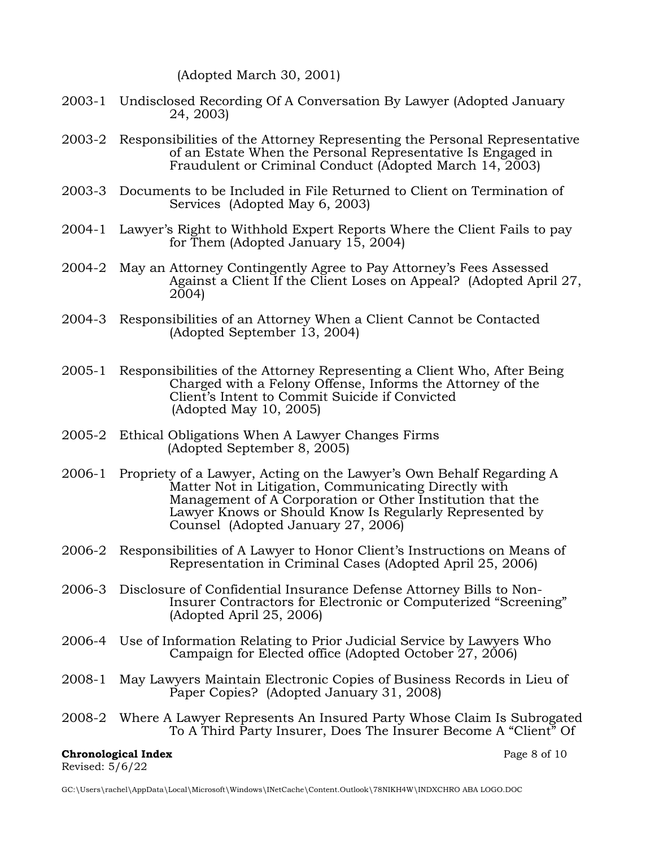(Adopted March 30, 2001)

- 2003-1 Undisclosed Recording Of A Conversation By Lawyer (Adopted January 24, 2003)
- 2003-2 Responsibilities of the Attorney Representing the Personal Representative of an Estate When the Personal Representative Is Engaged in Fraudulent or Criminal Conduct (Adopted March 14, 2003)
- 2003-3 Documents to be Included in File Returned to Client on Termination of Services (Adopted May 6, 2003)
- 2004-1 Lawyer's Right to Withhold Expert Reports Where the Client Fails to pay for Them (Adopted January 15, 2004)
- 2004-2 May an Attorney Contingently Agree to Pay Attorney's Fees Assessed Against a Client If the Client Loses on Appeal? (Adopted April 27,  $2004$
- 2004-3 Responsibilities of an Attorney When a Client Cannot be Contacted (Adopted September 13, 2004)
- 2005-1 Responsibilities of the Attorney Representing a Client Who, After Being Charged with a Felony Offense, Informs the Attorney of the Client's Intent to Commit Suicide if Convicted (Adopted May 10, 2005)
- 2005-2 Ethical Obligations When A Lawyer Changes Firms (Adopted September 8, 2005)
- 2006-1 Propriety of a Lawyer, Acting on the Lawyer's Own Behalf Regarding A Matter Not in Litigation, Communicating Directly with Management of A Corporation or Other Institution that the Lawyer Knows or Should Know Is Regularly Represented by Counsel (Adopted January 27, 2006)
- 2006-2 Responsibilities of A Lawyer to Honor Client's Instructions on Means of Representation in Criminal Cases (Adopted April 25, 2006)
- 2006-3 Disclosure of Confidential Insurance Defense Attorney Bills to Non-Insurer Contractors for Electronic or Computerized "Screening" (Adopted April 25, 2006)
- 2006-4 Use of Information Relating to Prior Judicial Service by Lawyers Who Campaign for Elected office (Adopted October 27, 2006)
- 2008-1 May Lawyers Maintain Electronic Copies of Business Records in Lieu of Paper Copies? (Adopted January 31, 2008)
- 2008-2 Where A Lawyer Represents An Insured Party Whose Claim Is Subrogated To A Third Party Insurer, Does The Insurer Become A "Client" Of

### **Chronological Index Page 8 of 10** Revised: 5/6/22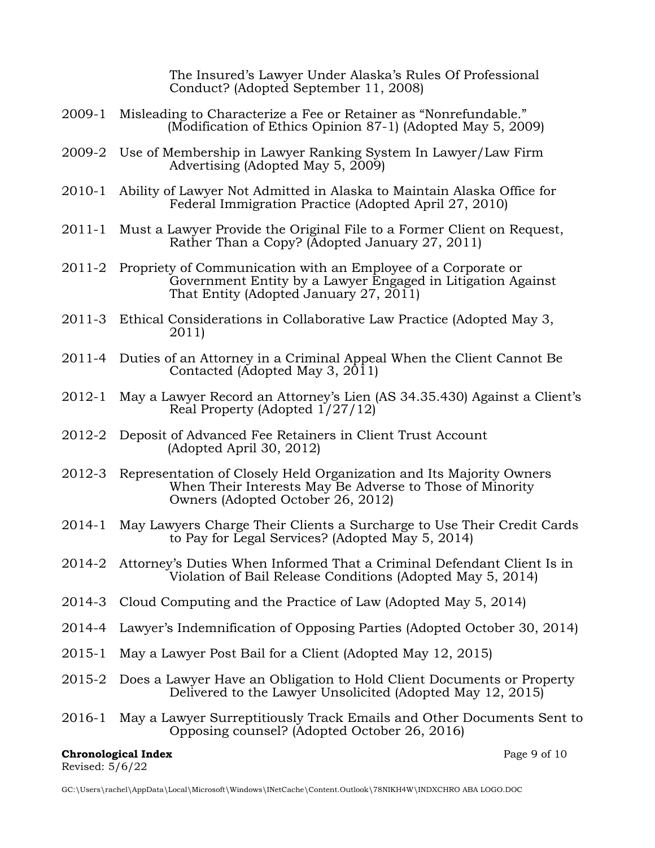The Insured's Lawyer Under Alaska's Rules Of Professional Conduct? (Adopted September 11, 2008)

- 2009-1 Misleading to Characterize a Fee or Retainer as "Nonrefundable." (Modification of Ethics Opinion 87-1) (Adopted May 5, 2009)
- 2009-2 Use of Membership in Lawyer Ranking System In Lawyer/Law Firm Advertising (Adopted May 5, 2009)
- 2010-1 Ability of Lawyer Not Admitted in Alaska to Maintain Alaska Office for Federal Immigration Practice (Adopted April 27, 2010)
- 2011-1 Must a Lawyer Provide the Original File to a Former Client on Request, Rather Than a Copy? (Adopted January 27, 2011)
- 2011-2 Propriety of Communication with an Employee of a Corporate or Government Entity by a Lawyer Engaged in Litigation Against That Entity (Adopted January 27, 2011)
- 2011-3 Ethical Considerations in Collaborative Law Practice (Adopted May 3, 2011)
- 2011-4 Duties of an Attorney in a Criminal Appeal When the Client Cannot Be Contacted (Adopted May 3,  $2011$ )
- 2012-1 May a Lawyer Record an Attorney's Lien (AS 34.35.430) Against a Client's Real Property (Adopted 1/27/12)
- 2012-2 Deposit of Advanced Fee Retainers in Client Trust Account (Adopted April 30, 2012)
- 2012-3 Representation of Closely Held Organization and Its Majority Owners When Their Interests May Be Adverse to Those of Minority Owners (Adopted October 26, 2012)
- 2014-1 May Lawyers Charge Their Clients a Surcharge to Use Their Credit Cards to Pay for Legal Services? (Adopted May 5, 2014)
- 2014-2 Attorney's Duties When Informed That a Criminal Defendant Client Is in Violation of Bail Release Conditions (Adopted May 5, 2014)
- 2014-3 Cloud Computing and the Practice of Law (Adopted May 5, 2014)
- 2014-4 Lawyer's Indemnification of Opposing Parties (Adopted October 30, 2014)
- 2015-1 May a Lawyer Post Bail for a Client (Adopted May 12, 2015)
- 2015-2 Does a Lawyer Have an Obligation to Hold Client Documents or Property Delivered to the Lawyer Unsolicited (Adopted May 12, 2015)
- 2016-1 May a Lawyer Surreptitiously Track Emails and Other Documents Sent to Opposing counsel? (Adopted October 26, 2016)

### **Chronological Index** Page 9 of 10 Revised: 5/6/22